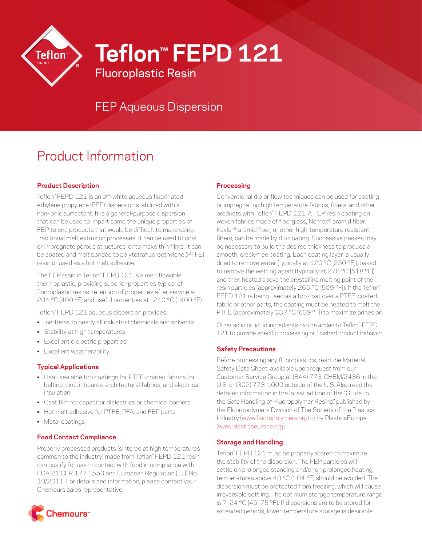

**Teflon™ FEPD 121**

FEP Aqueous Dispersion

Fluoroplastic Resin

# Product Information

# **Product Description**

Teflon™ FEPD 121 is an off-white aqueous fluorinated ethylene propylene (FEP) dispersion stabilized with a non-ionic surfactant. It is a general-purpose dispersion that can be used to impart some the unique properties of FEP to end products that would be difficult to make using traditional melt extrusion processes. It can be used to coat or impregnate porous structures, or to make thin films. It can be coated and melt bonded to polytetrafluoroethylene (PTFE) resin or used as a hot melt adhesive.

The FEP resin in Teflon™ FEPD 121 is a melt flowable thermoplastic, providing superior properties typical of fluoroplastic resins: retention of properties after service at 204 °C (400 °F) and useful properties at –240 °C (–400 °F).

Teflon™ FEPD 121 aqueous dispersion provides:

- Inertness to nearly all industrial chemicals and solvents
- Stability at high temperatures
- Excellent dielectric properties
- Excellent weatherability

#### **Typical Applications**

- Heat-sealable top coatings for PTFE-coated fabrics for belting, circuit boards, architectural fabrics, and electrical insulation
- Cast film for capacitor dielectrics or chemical barriers
- Hot melt adhesive for PTFE, PFA, and FEP parts
- Metal coatings

## **Food Contact Compliance**

Properly processed products (sintered at high temperatures common to the industry) made from Teflon™ FEPD 121 resin can qualify for use in contact with food in compliance with FDA 21 CFR 177.1550 and European Regulation (EU) No. 10/2011. For details and information, please contact your Chemours sales representative.



### **Processing**

Conventional dip or flow techniques can be used for coating or impregnating high temperature fabrics, fibers, and other products with Teflon™ FEPD 121. A FEP resin coating on woven fabrics made of fiberglass, Nomex® aramid fiber, Kevlar® aramid fiber, or other high-temperature resistant fibers, can be made by dip coating. Successive passes may be necessary to build the desired thickness to produce a smooth, crack-free coating. Each coating layer is usually dried to remove water (typically at 120 °C [250 °F]), baked to remove the wetting agent (typically at 270 °C [518 °F]), and then heated above the crystalline melting point of the resin particles (approximately 265 °C [509 °F]). If the Teflon™ FEPD 121 is being used as a top coat over a PTFE-coated fabric or other parts, the coating must be heated to melt the PTFE (approximately 337 °C [639 °F]) to maximize adhesion.

Other solid or liquid ingredients can be added to Teflon™ FEPD 121 to provide specific processing or finished product behavior.

## **Safety Precautions**

Before processing any fluoroplastics, read the Material Safety Data Sheet, available upon request from our Customer Service Group at (844) 773-CHEM/2436 in the U.S. or (302) 773-1000 outside of the U.S. Also read the detailed information in the latest edition of the "Guide to the Safe Handling of Fluoropolymer Resins," published by the Fluoropolymers Division of The Society of the Plastics Industry ([www.fluoropolymers.org](http://www.fluoropolymers.org)) or by PlasticsEurope [\(www.plasticseurope.org](http://www.plasticseurope.org)).

## **Storage and Handling**

Teflon™ FEPD 121 must be properly stored to maximize the stability of the dispersion. The FEP particles will settle on prolonged standing and/or on prolonged heating; temperatures above 40 °C (104 °F) should be avoided. The dispersion must be protected from freezing, which will cause irreversible settling. The optimum storage temperature range is 7–24 °C (45–75 °F). If dispersions are to be stored for extended periods, lower-temperature storage is desirable.